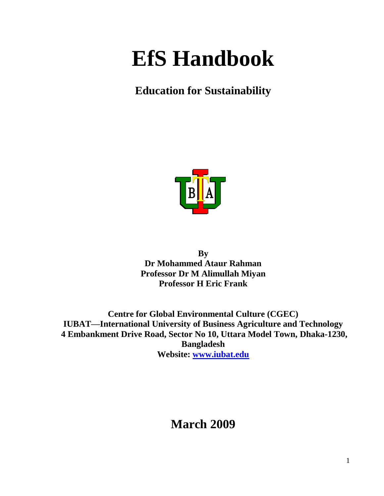# **EfS Handbook**

### **Education for Sustainability**



**By Dr Mohammed Ataur Rahman Professor Dr M Alimullah Miyan Professor H Eric Frank**

**Centre for Global Environmental Culture (CGEC) IUBAT—International University of Business Agriculture and Technology 4 Embankment Drive Road, Sector No 10, Uttara Model Town, Dhaka-1230, Bangladesh Website: [www.iubat.edu](http://www.iubat.edu/)**

### **March 2009**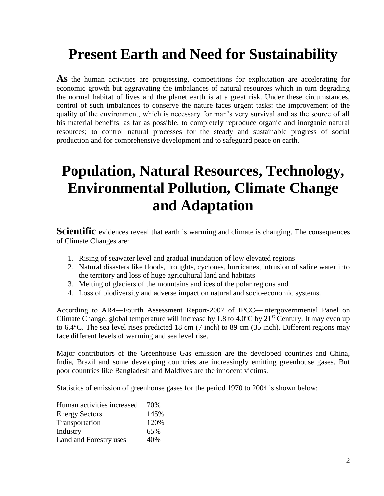# **Present Earth and Need for Sustainability**

**As** the human activities are progressing, competitions for exploitation are accelerating for economic growth but aggravating the imbalances of natural resources which in turn degrading the normal habitat of lives and the planet earth is at a great risk. Under these circumstances, control of such imbalances to conserve the nature faces urgent tasks: the improvement of the quality of the environment, which is necessary for man's very survival and as the source of all his material benefits; as far as possible, to completely reproduce organic and inorganic natural resources; to control natural processes for the steady and sustainable progress of social production and for comprehensive development and to safeguard peace on earth.

# **Population, Natural Resources, Technology, Environmental Pollution, Climate Change and Adaptation**

**Scientific** evidences reveal that earth is warming and climate is changing. The consequences of Climate Changes are:

- 1. Rising of seawater level and gradual inundation of low elevated regions
- 2. Natural disasters like floods, droughts, cyclones, hurricanes, intrusion of saline water into the territory and loss of huge agricultural land and habitats
- 3. Melting of glaciers of the mountains and ices of the polar regions and
- 4. Loss of biodiversity and adverse impact on natural and socio-economic systems.

According to AR4—Fourth Assessment Report-2007 of IPCC—Intergovernmental Panel on Climate Change, global temperature will increase by 1.8 to 4.0 $\degree$ C by 21<sup>st</sup> Century. It may even up to 6.4°C. The sea level rises predicted 18 cm (7 inch) to 89 cm (35 inch). Different regions may face different levels of warming and sea level rise.

Major contributors of the Greenhouse Gas emission are the developed countries and China, India, Brazil and some developing countries are increasingly emitting greenhouse gases. But poor countries like Bangladesh and Maldives are the innocent victims.

Statistics of emission of greenhouse gases for the period 1970 to 2004 is shown below:

| Human activities increased | 70%  |
|----------------------------|------|
| <b>Energy Sectors</b>      | 145% |
| Transportation             | 120% |
| Industry                   | 65%  |
| Land and Forestry uses     | 40%  |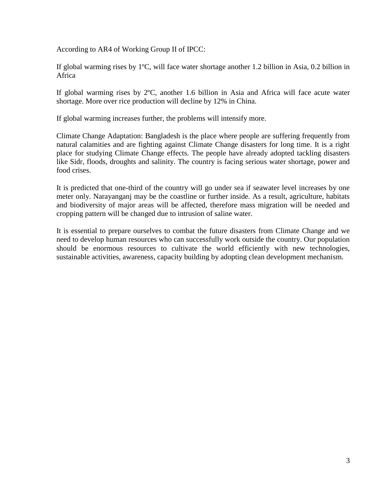According to AR4 of Working Group II of IPCC:

If global warming rises by 1ºC, will face water shortage another 1.2 billion in Asia, 0.2 billion in Africa

If global warming rises by 2ºC, another 1.6 billion in Asia and Africa will face acute water shortage. More over rice production will decline by 12% in China.

If global warming increases further, the problems will intensify more.

Climate Change Adaptation: Bangladesh is the place where people are suffering frequently from natural calamities and are fighting against Climate Change disasters for long time. It is a right place for studying Climate Change effects. The people have already adopted tackling disasters like Sidr, floods, droughts and salinity. The country is facing serious water shortage, power and food crises.

It is predicted that one-third of the country will go under sea if seawater level increases by one meter only. Narayanganj may be the coastline or further inside. As a result, agriculture, habitats and biodiversity of major areas will be affected, therefore mass migration will be needed and cropping pattern will be changed due to intrusion of saline water.

It is essential to prepare ourselves to combat the future disasters from Climate Change and we need to develop human resources who can successfully work outside the country. Our population should be enormous resources to cultivate the world efficiently with new technologies, sustainable activities, awareness, capacity building by adopting clean development mechanism.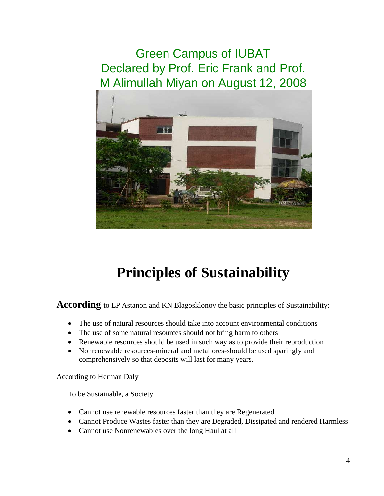*Green Campus of IUBAT Declared by Prof. Eric Frank and Prof. M Alimullah Miyan on August 12, 2008*



# **Principles of Sustainability**

**According** to LP Astanon and KN Blagosklonov the basic principles of Sustainability:

- The use of natural resources should take into account environmental conditions
- The use of some natural resources should not bring harm to others
- Renewable resources should be used in such way as to provide their reproduction
- Nonrenewable resources-mineral and metal ores-should be used sparingly and comprehensively so that deposits will last for many years.

According to Herman Daly

To be Sustainable, a Society

- Cannot use renewable resources faster than they are Regenerated
- Cannot Produce Wastes faster than they are Degraded, Dissipated and rendered Harmless
- Cannot use Nonrenewables over the long Haul at all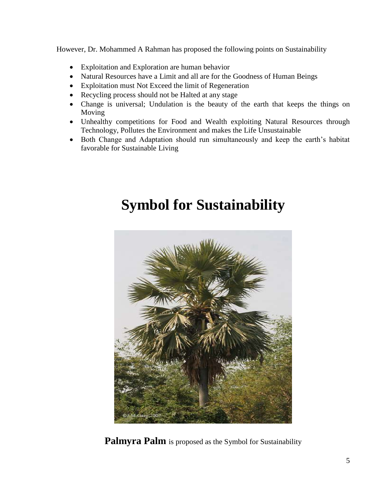However, Dr. Mohammed A Rahman has proposed the following points on Sustainability

- Exploitation and Exploration are human behavior
- Natural Resources have a Limit and all are for the Goodness of Human Beings
- Exploitation must Not Exceed the limit of Regeneration
- Recycling process should not be Halted at any stage
- Change is universal; Undulation is the beauty of the earth that keeps the things on Moving
- Unhealthy competitions for Food and Wealth exploiting Natural Resources through Technology, Pollutes the Environment and makes the Life Unsustainable
- Both Change and Adaptation should run simultaneously and keep the earth's habitat favorable for Sustainable Living

# **Symbol for Sustainability**



**Palmyra Palm** is proposed as the Symbol for Sustainability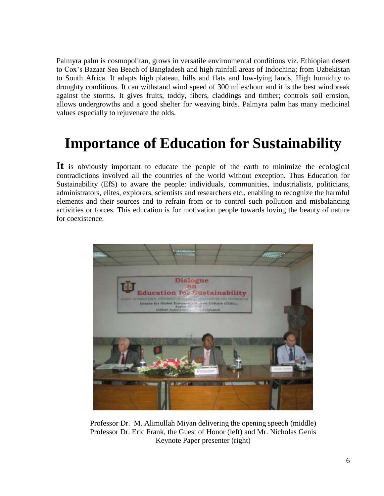Palmyra palm is cosmopolitan, grows in versatile environmental conditions viz. Ethiopian desert to Cox's Bazaar Sea Beach of Bangladesh and high rainfall areas of Indochina; from Uzbekistan to South Africa. It adapts high plateau, hills and flats and low-lying lands, High humidity to droughty conditions. It can withstand wind speed of 300 miles/hour and it is the best windbreak against the storms. It gives fruits, toddy, fibers, claddings and timber; controls soil erosion, allows undergrowths and a good shelter for weaving birds. Palmyra palm has many medicinal values especially to rejuvenate the olds.

# **Importance of Education for Sustainability**

**It** is obviously important to educate the people of the earth to minimize the ecological contradictions involved all the countries of the world without exception. Thus Education for Sustainability (EfS) to aware the people: individuals, communities, industrialists, politicians, administrators, elites, explorers, scientists and researchers etc., enabling to recognize the harmful elements and their sources and to refrain from or to control such pollution and misbalancing activities or forces. This education is for motivation people towards loving the beauty of nature for coexistence.



Professor Dr. M. Alimullah Miyan delivering the opening speech (middle) Professor Dr. Eric Frank, the Guest of Honor (left) and Mr. Nicholas Genis Keynote Paper presenter (right)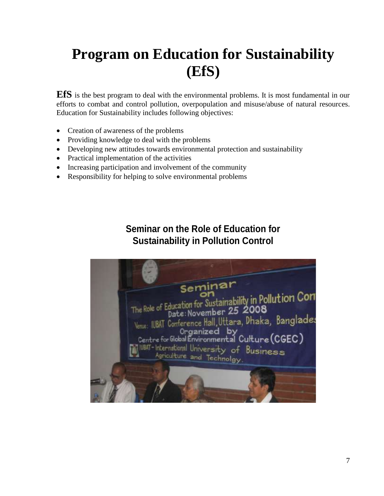# **Program on Education for Sustainability (EfS)**

**EfS** is the best program to deal with the environmental problems. It is most fundamental in our efforts to combat and control pollution, overpopulation and misuse/abuse of natural resources. Education for Sustainability includes following objectives:

- Creation of awareness of the problems
- Providing knowledge to deal with the problems
- Developing new attitudes towards environmental protection and sustainability
- Practical implementation of the activities
- Increasing participation and involvement of the community
- Responsibility for helping to solve environmental problems

#### **Seminar on the Role of Education for Sustainability in Pollution Control**

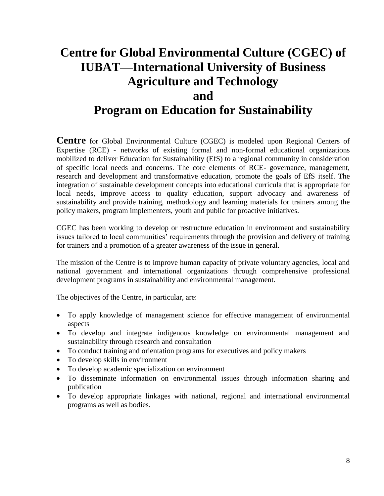### **Centre for Global Environmental Culture (CGEC) of IUBAT—International University of Business Agriculture and Technology and Program on Education for Sustainability**

**Centre** for Global Environmental Culture (CGEC) is modeled upon Regional Centers of Expertise (RCE) - networks of existing formal and non-formal educational organizations mobilized to deliver Education for Sustainability (EfS) to a regional community in consideration of specific local needs and concerns. The core elements of RCE- governance, management, research and development and transformative education, promote the goals of EfS itself. The integration of sustainable development concepts into educational curricula that is appropriate for local needs, improve access to quality education, support advocacy and awareness of sustainability and provide training, methodology and learning materials for trainers among the policy makers, program implementers, youth and public for proactive initiatives.

CGEC has been working to develop or restructure education in environment and sustainability issues tailored to local communities' requirements through the provision and delivery of training for trainers and a promotion of a greater awareness of the issue in general.

The mission of the Centre is to improve human capacity of private voluntary agencies, local and national government and international organizations through comprehensive professional development programs in sustainability and environmental management.

The objectives of the Centre, in particular, are:

- To apply knowledge of management science for effective management of environmental aspects
- To develop and integrate indigenous knowledge on environmental management and sustainability through research and consultation
- To conduct training and orientation programs for executives and policy makers
- To develop skills in environment
- To develop academic specialization on environment
- To disseminate information on environmental issues through information sharing and publication
- To develop appropriate linkages with national, regional and international environmental programs as well as bodies.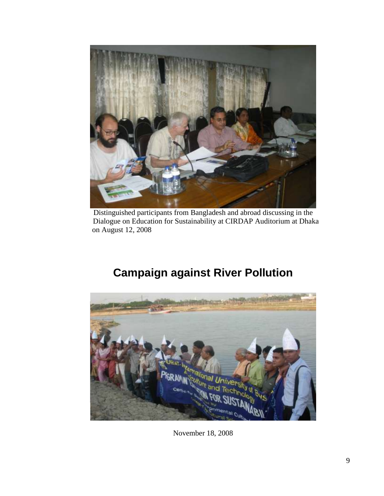

Distinguished participants from Bangladesh and abroad discussing in the Dialogue on Education for Sustainability at CIRDAP Auditorium at Dhaka on August 12, 2008

### **Campaign against River Pollution**



November 18, 2008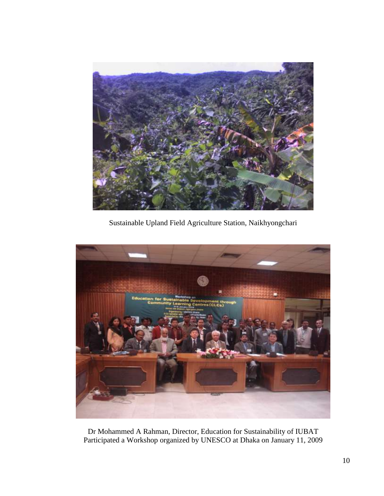

Sustainable Upland Field Agriculture Station, Naikhyongchari



Dr Mohammed A Rahman, Director, Education for Sustainability of IUBAT Participated a Workshop organized by UNESCO at Dhaka on January 11, 2009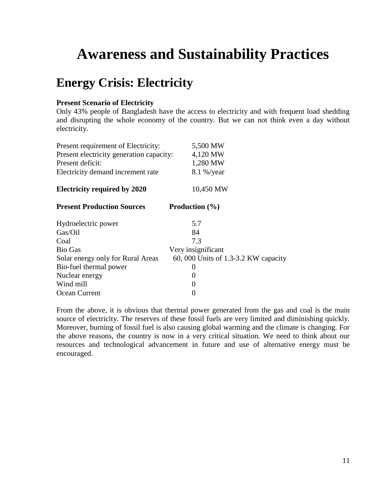# **Awareness and Sustainability Practices**

### **Energy Crisis: Electricity**

#### **Present Scenario of Electricity**

Only 43% people of Bangladesh have the access to electricity and with frequent load shedding and disrupting the whole economy of the country. But we can not think even a day without electricity.

| 5,500 MW                                             |
|------------------------------------------------------|
| Present electricity generation capacity:<br>4,120 MW |
| 1,280 MW                                             |
| 8.1 %/year                                           |
| 10,450 MW                                            |
| <b>Production</b> $(\% )$                            |
| 5.7                                                  |
| 84                                                   |
| 7.3                                                  |
| Very insignificant                                   |
| 60, 000 Units of 1.3-3.2 KW capacity                 |
| $\theta$                                             |
| 0                                                    |
| 0                                                    |
| 0                                                    |
|                                                      |

From the above, it is obvious that thermal power generated from the gas and coal is the main source of electricity. The reserves of these fossil fuels are very limited and diminishing quickly. Moreover, burning of fossil fuel is also causing global warming and the climate is changing. For the above reasons, the country is now in a very critical situation. We need to think about our resources and technological advancement in future and use of alternative energy must be encouraged.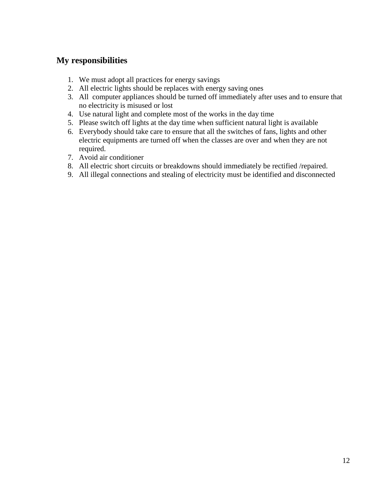- 1. We must adopt all practices for energy savings
- 2. All electric lights should be replaces with energy saving ones
- 3. All computer appliances should be turned off immediately after uses and to ensure that no electricity is misused or lost
- 4. Use natural light and complete most of the works in the day time
- 5. Please switch off lights at the day time when sufficient natural light is available
- 6. Everybody should take care to ensure that all the switches of fans, lights and other electric equipments are turned off when the classes are over and when they are not required.
- 7. Avoid air conditioner
- 8. All electric short circuits or breakdowns should immediately be rectified /repaired.
- 9. All illegal connections and stealing of electricity must be identified and disconnected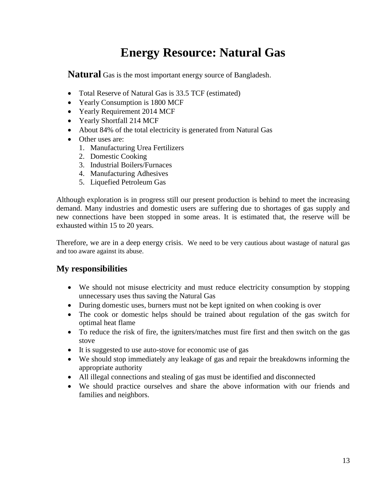### **Energy Resource: Natural Gas**

**Natural** Gas is the most important energy source of Bangladesh.

- Total Reserve of Natural Gas is 33.5 TCF (estimated)
- Yearly Consumption is 1800 MCF
- Yearly Requirement 2014 MCF
- Yearly Shortfall 214 MCF
- About 84% of the total electricity is generated from Natural Gas
- Other uses are:
	- 1. Manufacturing Urea Fertilizers
	- 2. Domestic Cooking
	- 3. Industrial Boilers/Furnaces
	- 4. Manufacturing Adhesives
	- 5. Liquefied Petroleum Gas

Although exploration is in progress still our present production is behind to meet the increasing demand. Many industries and domestic users are suffering due to shortages of gas supply and new connections have been stopped in some areas. It is estimated that, the reserve will be exhausted within 15 to 20 years.

Therefore, we are in a deep energy crisis. We need to be very cautious about wastage of natural gas and too aware against its abuse.

- We should not misuse electricity and must reduce electricity consumption by stopping unnecessary uses thus saving the Natural Gas
- During domestic uses, burners must not be kept ignited on when cooking is over
- The cook or domestic helps should be trained about regulation of the gas switch for optimal heat flame
- To reduce the risk of fire, the igniters/matches must fire first and then switch on the gas stove
- It is suggested to use auto-stove for economic use of gas
- We should stop immediately any leakage of gas and repair the breakdowns informing the appropriate authority
- All illegal connections and stealing of gas must be identified and disconnected
- We should practice ourselves and share the above information with our friends and families and neighbors.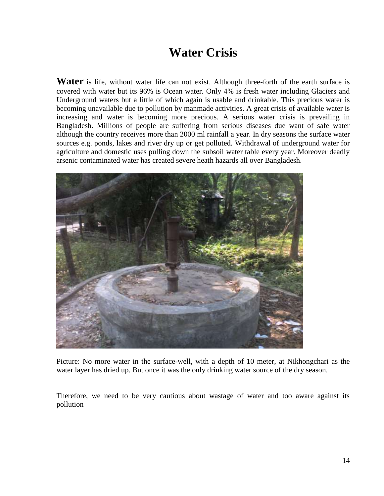### **Water Crisis**

**Water** is life, without water life can not exist. Although three-forth of the earth surface is covered with water but its 96% is Ocean water. Only 4% is fresh water including Glaciers and Underground waters but a little of which again is usable and drinkable. This precious water is becoming unavailable due to pollution by manmade activities. A great crisis of available water is increasing and water is becoming more precious. A serious water crisis is prevailing in Bangladesh. Millions of people are suffering from serious diseases due want of safe water although the country receives more than 2000 ml rainfall a year. In dry seasons the surface water sources e.g. ponds, lakes and river dry up or get polluted. Withdrawal of underground water for agriculture and domestic uses pulling down the subsoil water table every year. Moreover deadly arsenic contaminated water has created severe heath hazards all over Bangladesh.



Picture: No more water in the surface-well, with a depth of 10 meter, at Nikhongchari as the water layer has dried up. But once it was the only drinking water source of the dry season.

Therefore, we need to be very cautious about wastage of water and too aware against its pollution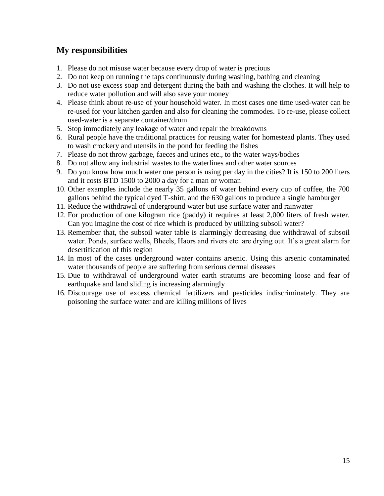- 1. Please do not misuse water because every drop of water is precious
- 2. Do not keep on running the taps continuously during washing, bathing and cleaning
- 3. Do not use excess soap and detergent during the bath and washing the clothes. It will help to reduce water pollution and will also save your money
- 4. Please think about re-use of your household water. In most cases one time used-water can be re-used for your kitchen garden and also for cleaning the commodes. To re-use, please collect used-water is a separate container/drum
- 5. Stop immediately any leakage of water and repair the breakdowns
- 6. Rural people have the traditional practices for reusing water for homestead plants. They used to wash crockery and utensils in the pond for feeding the fishes
- 7. Please do not throw garbage, faeces and urines etc., to the water ways/bodies
- 8. Do not allow any industrial wastes to the waterlines and other water sources
- 9. Do you know how much water one person is using per day in the cities? It is 150 to 200 liters and it costs BTD 1500 to 2000 a day for a man or woman
- 10. Other examples include the nearly 35 gallons of water behind every cup of coffee, the 700 gallons behind the typical dyed T-shirt, and the 630 gallons to produce a single hamburger
- 11. Reduce the withdrawal of underground water but use surface water and rainwater
- 12. For production of one kilogram rice (paddy) it requires at least 2,000 liters of fresh water. Can you imagine the cost of rice which is produced by utilizing subsoil water?
- 13. Remember that, the subsoil water table is alarmingly decreasing due withdrawal of subsoil water. Ponds, surface wells, Bheels, Haors and rivers etc. are drying out. It's a great alarm for desertification of this region
- 14. In most of the cases underground water contains arsenic. Using this arsenic contaminated water thousands of people are suffering from serious dermal diseases
- 15. Due to withdrawal of underground water earth stratums are becoming loose and fear of earthquake and land sliding is increasing alarmingly
- 16. Discourage use of excess chemical fertilizers and pesticides indiscriminately. They are poisoning the surface water and are killing millions of lives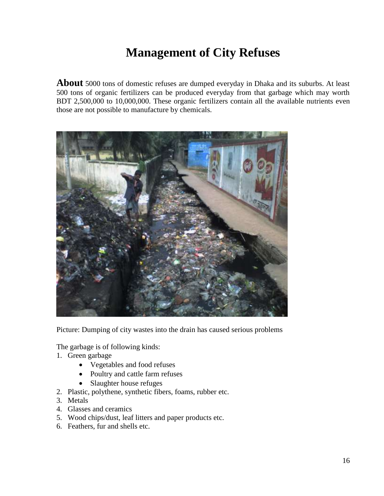### **Management of City Refuses**

**About** 5000 tons of domestic refuses are dumped everyday in Dhaka and its suburbs. At least 500 tons of organic fertilizers can be produced everyday from that garbage which may worth BDT 2,500,000 to 10,000,000. These organic fertilizers contain all the available nutrients even those are not possible to manufacture by chemicals.



Picture: Dumping of city wastes into the drain has caused serious problems

The garbage is of following kinds:

- 1. Green garbage
	- Vegetables and food refuses
	- Poultry and cattle farm refuses
	- Slaughter house refuges
- 2. Plastic, polythene, synthetic fibers, foams, rubber etc.
- 3. Metals
- 4. Glasses and ceramics
- 5. Wood chips/dust, leaf litters and paper products etc.
- 6. Feathers, fur and shells etc.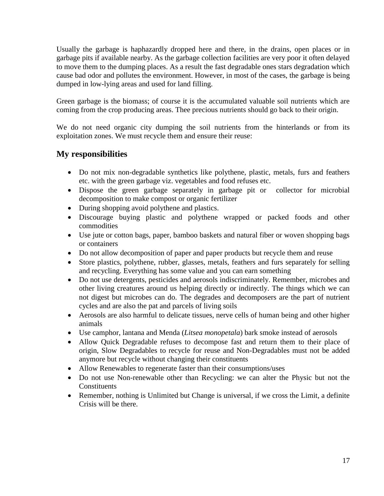Usually the garbage is haphazardly dropped here and there, in the drains, open places or in garbage pits if available nearby. As the garbage collection facilities are very poor it often delayed to move them to the dumping places. As a result the fast degradable ones stars degradation which cause bad odor and pollutes the environment. However, in most of the cases, the garbage is being dumped in low-lying areas and used for land filling.

Green garbage is the biomass; of course it is the accumulated valuable soil nutrients which are coming from the crop producing areas. Thee precious nutrients should go back to their origin.

We do not need organic city dumping the soil nutrients from the hinterlands or from its exploitation zones. We must recycle them and ensure their reuse:

- Do not mix non-degradable synthetics like polythene, plastic, metals, furs and feathers etc. with the green garbage viz. vegetables and food refuses etc.
- Dispose the green garbage separately in garbage pit or collector for microbial decomposition to make compost or organic fertilizer
- During shopping avoid polythene and plastics.
- Discourage buying plastic and polythene wrapped or packed foods and other commodities
- Use jute or cotton bags, paper, bamboo baskets and natural fiber or woven shopping bags or containers
- Do not allow decomposition of paper and paper products but recycle them and reuse
- Store plastics, polythene, rubber, glasses, metals, feathers and furs separately for selling and recycling. Everything has some value and you can earn something
- Do not use detergents, pesticides and aerosols indiscriminately. Remember, microbes and other living creatures around us helping directly or indirectly. The things which we can not digest but microbes can do. The degrades and decomposers are the part of nutrient cycles and are also the pat and parcels of living soils
- Aerosols are also harmful to delicate tissues, nerve cells of human being and other higher animals
- Use camphor, lantana and Menda (*Litsea monopetala*) bark smoke instead of aerosols
- Allow Quick Degradable refuses to decompose fast and return them to their place of origin, Slow Degradables to recycle for reuse and Non-Degradables must not be added anymore but recycle without changing their constituents
- Allow Renewables to regenerate faster than their consumptions/uses
- Do not use Non-renewable other than Recycling: we can alter the Physic but not the Constituents
- Remember, nothing is Unlimited but Change is universal, if we cross the Limit, a definite Crisis will be there.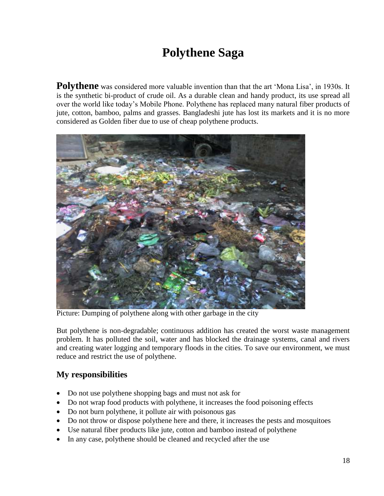### **Polythene Saga**

Polythene was considered more valuable invention than that the art 'Mona Lisa', in 1930s. It is the synthetic bi-product of crude oil. As a durable clean and handy product, its use spread all over the world like today's Mobile Phone. Polythene has replaced many natural fiber products of jute, cotton, bamboo, palms and grasses. Bangladeshi jute has lost its markets and it is no more considered as Golden fiber due to use of cheap polythene products.



Picture: Dumping of polythene along with other garbage in the city

But polythene is non-degradable; continuous addition has created the worst waste management problem. It has polluted the soil, water and has blocked the drainage systems, canal and rivers and creating water logging and temporary floods in the cities. To save our environment, we must reduce and restrict the use of polythene.

- Do not use polythene shopping bags and must not ask for
- Do not wrap food products with polythene, it increases the food poisoning effects
- Do not burn polythene, it pollute air with poisonous gas
- Do not throw or dispose polythene here and there, it increases the pests and mosquitoes
- Use natural fiber products like jute, cotton and bamboo instead of polythene
- In any case, polythene should be cleaned and recycled after the use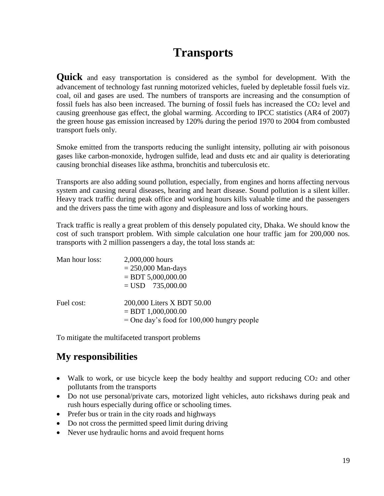### **Transports**

**Quick** and easy transportation is considered as the symbol for development. With the advancement of technology fast running motorized vehicles, fueled by depletable fossil fuels viz. coal, oil and gases are used. The numbers of transports are increasing and the consumption of fossil fuels has also been increased. The burning of fossil fuels has increased the CO2 level and causing greenhouse gas effect, the global warming. According to IPCC statistics (AR4 of 2007) the green house gas emission increased by 120% during the period 1970 to 2004 from combusted transport fuels only.

Smoke emitted from the transports reducing the sunlight intensity, polluting air with poisonous gases like carbon-monoxide, hydrogen sulfide, lead and dusts etc and air quality is deteriorating causing bronchial diseases like asthma, bronchitis and tuberculosis etc.

Transports are also adding sound pollution, especially, from engines and horns affecting nervous system and causing neural diseases, hearing and heart disease. Sound pollution is a silent killer. Heavy track traffic during peak office and working hours kills valuable time and the passengers and the drivers pass the time with agony and displeasure and loss of working hours.

Track traffic is really a great problem of this densely populated city, Dhaka. We should know the cost of such transport problem. With simple calculation one hour traffic jam for 200,000 nos. transports with 2 million passengers a day, the total loss stands at:

| Man hour loss: | 2,000,000 hours                              |  |  |
|----------------|----------------------------------------------|--|--|
|                | $= 250,000$ Man-days                         |  |  |
|                | $=$ BDT 5,000,000.00                         |  |  |
|                | $=$ USD 735,000.00                           |  |  |
| Fuel cost:     | 200,000 Liters X BDT 50.00                   |  |  |
|                | $=$ BDT 1,000,000.00                         |  |  |
|                | $=$ One day's food for 100,000 hungry people |  |  |

To mitigate the multifaceted transport problems

- Walk to work, or use bicycle keep the body healthy and support reducing CO<sub>2</sub> and other pollutants from the transports
- Do not use personal/private cars, motorized light vehicles, auto rickshaws during peak and rush hours especially during office or schooling times.
- Prefer bus or train in the city roads and highways
- Do not cross the permitted speed limit during driving
- Never use hydraulic horns and avoid frequent horns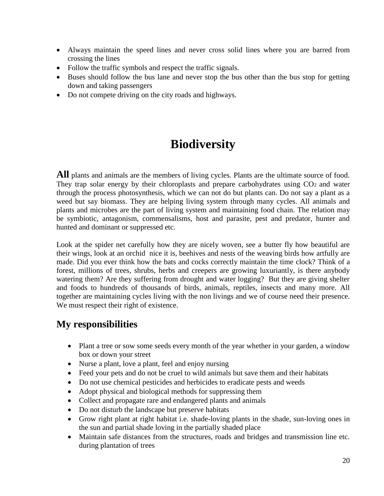- Always maintain the speed lines and never cross solid lines where you are barred from crossing the lines
- Follow the traffic symbols and respect the traffic signals.
- Buses should follow the bus lane and never stop the bus other than the bus stop for getting down and taking passengers
- Do not compete driving on the city roads and highways.

### **Biodiversity**

All plants and animals are the members of living cycles. Plants are the ultimate source of food. They trap solar energy by their chloroplasts and prepare carbohydrates using  $CO<sub>2</sub>$  and water through the process photosynthesis, which we can not do but plants can. Do not say a plant as a weed but say biomass. They are helping living system through many cycles. All animals and plants and microbes are the part of living system and maintaining food chain. The relation may be symbiotic, antagonism, commensalisms, host and parasite, pest and predator, hunter and hunted and dominant or suppressed etc.

Look at the spider net carefully how they are nicely woven, see a butter fly how beautiful are their wings, look at an orchid nice it is, beehives and nests of the weaving birds how artfully are made. Did you ever think how the bats and cocks correctly maintain the time clock? Think of a forest, millions of trees, shrubs, herbs and creepers are growing luxuriantly, is there anybody watering them? Are they suffering from drought and water logging? But they are giving shelter and foods to hundreds of thousands of birds, animals, reptiles, insects and many more. All together are maintaining cycles living with the non livings and we of course need their presence. We must respect their right of existence.

- Plant a tree or sow some seeds every month of the year whether in your garden, a window box or down your street
- Nurse a plant, love a plant, feel and enjoy nursing
- Feed your pets and do not be cruel to wild animals but save them and their habitats
- Do not use chemical pesticides and herbicides to eradicate pests and weeds
- Adopt physical and biological methods for suppressing them
- Collect and propagate rare and endangered plants and animals
- Do not disturb the landscape but preserve habitats
- Grow right plant at right habitat i.e. shade-loving plants in the shade, sun-loving ones in the sun and partial shade loving in the partially shaded place
- Maintain safe distances from the structures, roads and bridges and transmission line etc. during plantation of trees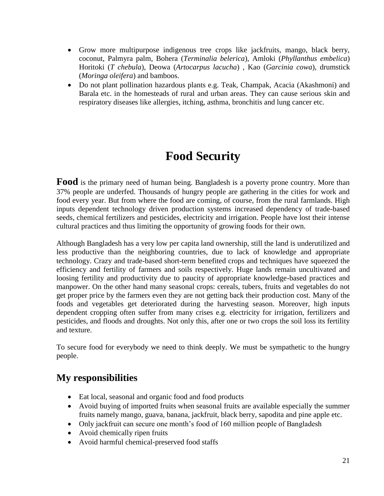- Grow more multipurpose indigenous tree crops like jackfruits, mango, black berry, coconut, Palmyra palm, Bohera (*Terminalia belerica*), Amloki (*Phyllanthus embelica*) Horitoki (*T chebula*), Deowa (*Artocarpus lacucha*) , Kao (*Garcinia cowa*), drumstick (*Moringa oleifera*) and bamboos.
- Do not plant pollination hazardous plants e.g. Teak, Champak, Acacia (Akashmoni) and Barala etc. in the homesteads of rural and urban areas. They can cause serious skin and respiratory diseases like allergies, itching, asthma, bronchitis and lung cancer etc.

### **Food Security**

**Food** is the primary need of human being. Bangladesh is a poverty prone country. More than 37% people are underfed. Thousands of hungry people are gathering in the cities for work and food every year. But from where the food are coming, of course, from the rural farmlands. High inputs dependent technology driven production systems increased dependency of trade-based seeds, chemical fertilizers and pesticides, electricity and irrigation. People have lost their intense cultural practices and thus limiting the opportunity of growing foods for their own.

Although Bangladesh has a very low per capita land ownership, still the land is underutilized and less productive than the neighboring countries, due to lack of knowledge and appropriate technology. Crazy and trade-based short-term benefited crops and techniques have squeezed the efficiency and fertility of farmers and soils respectively. Huge lands remain uncultivated and loosing fertility and productivity due to paucity of appropriate knowledge-based practices and manpower. On the other hand many seasonal crops: cereals, tubers, fruits and vegetables do not get proper price by the farmers even they are not getting back their production cost. Many of the foods and vegetables get deteriorated during the harvesting season. Moreover, high inputs dependent cropping often suffer from many crises e.g. electricity for irrigation, fertilizers and pesticides, and floods and droughts. Not only this, after one or two crops the soil loss its fertility and texture.

To secure food for everybody we need to think deeply. We must be sympathetic to the hungry people.

- Eat local, seasonal and organic food and food products
- Avoid buying of imported fruits when seasonal fruits are available especially the summer fruits namely mango, guava, banana, jackfruit, black berry, sapodita and pine apple etc.
- Only jackfruit can secure one month's food of 160 million people of Bangladesh
- Avoid chemically ripen fruits
- Avoid harmful chemical-preserved food staffs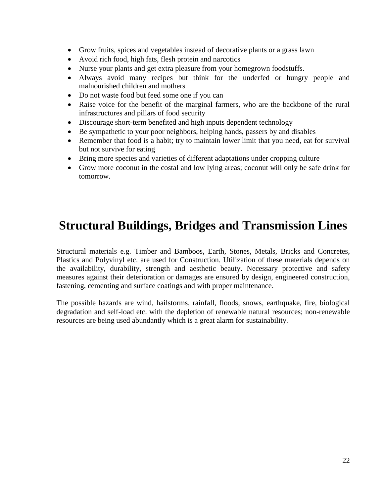- Grow fruits, spices and vegetables instead of decorative plants or a grass lawn
- Avoid rich food, high fats, flesh protein and narcotics
- Nurse your plants and get extra pleasure from your homegrown foodstuffs.
- Always avoid many recipes but think for the underfed or hungry people and malnourished children and mothers
- Do not waste food but feed some one if you can
- Raise voice for the benefit of the marginal farmers, who are the backbone of the rural infrastructures and pillars of food security
- Discourage short-term benefited and high inputs dependent technology
- Be sympathetic to your poor neighbors, helping hands, passers by and disables
- Remember that food is a habit; try to maintain lower limit that you need, eat for survival but not survive for eating
- Bring more species and varieties of different adaptations under cropping culture
- Grow more coconut in the costal and low lying areas; coconut will only be safe drink for tomorrow.

### **Structural Buildings, Bridges and Transmission Lines**

Structural materials e.g. Timber and Bamboos, Earth, Stones, Metals, Bricks and Concretes, Plastics and Polyvinyl etc. are used for Construction. Utilization of these materials depends on the availability, durability, strength and aesthetic beauty. Necessary protective and safety measures against their deterioration or damages are ensured by design, engineered construction, fastening, cementing and surface coatings and with proper maintenance.

The possible hazards are wind, hailstorms, rainfall, floods, snows, earthquake, fire, biological degradation and self-load etc. with the depletion of renewable natural resources; non-renewable resources are being used abundantly which is a great alarm for sustainability.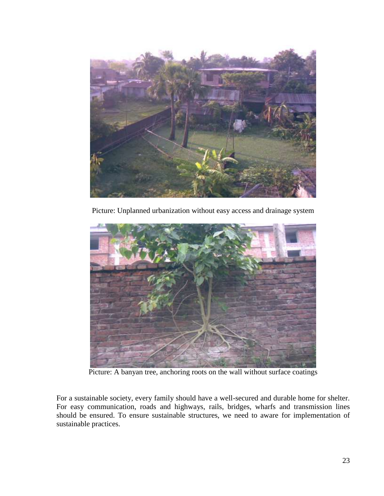

Picture: Unplanned urbanization without easy access and drainage system



Picture: A banyan tree, anchoring roots on the wall without surface coatings

For a sustainable society, every family should have a well-secured and durable home for shelter. For easy communication, roads and highways, rails, bridges, wharfs and transmission lines should be ensured. To ensure sustainable structures, we need to aware for implementation of sustainable practices.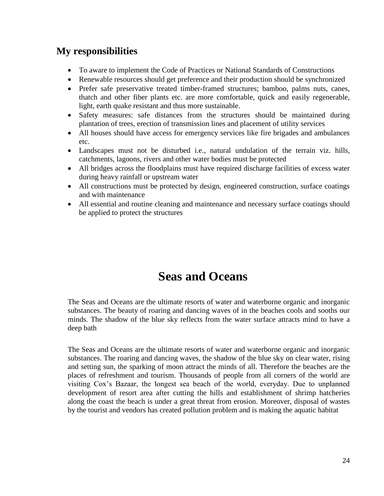#### **My responsibilities**

- To aware to implement the Code of Practices or National Standards of Constructions
- Renewable resources should get preference and their production should be synchronized
- Prefer safe preservative treated timber-framed structures; bamboo, palms nuts, canes, thatch and other fiber plants etc. are more comfortable, quick and easily regenerable, light, earth quake resistant and thus more sustainable.
- Safety measures: safe distances from the structures should be maintained during plantation of trees, erection of transmission lines and placement of utility services
- All houses should have access for emergency services like fire brigades and ambulances etc.
- Landscapes must not be disturbed i.e., natural undulation of the terrain viz. hills, catchments, lagoons, rivers and other water bodies must be protected
- All bridges across the floodplains must have required discharge facilities of excess water during heavy rainfall or upstream water
- All constructions must be protected by design, engineered construction, surface coatings and with maintenance
- All essential and routine cleaning and maintenance and necessary surface coatings should be applied to protect the structures

### **Seas and Oceans**

The Seas and Oceans are the ultimate resorts of water and waterborne organic and inorganic substances. The beauty of roaring and dancing waves of in the beaches cools and sooths our minds. The shadow of the blue sky reflects from the water surface attracts mind to have a deep bath

The Seas and Oceans are the ultimate resorts of water and waterborne organic and inorganic substances. The roaring and dancing waves, the shadow of the blue sky on clear water, rising and setting sun, the sparking of moon attract the minds of all. Therefore the beaches are the places of refreshment and tourism. Thousands of people from all corners of the world are visiting Cox's Bazaar, the longest sea beach of the world, everyday. Due to unplanned development of resort area after cutting the hills and establishment of shrimp hatcheries along the coast the beach is under a great threat from erosion. Moreover, disposal of wastes by the tourist and vendors has created pollution problem and is making the aquatic habitat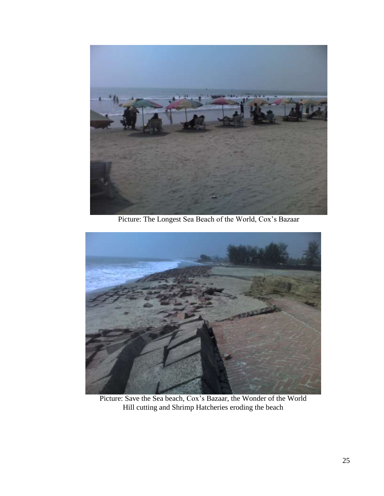

Picture: The Longest Sea Beach of the World, Cox's Bazaar



Picture: Save the Sea beach, Cox's Bazaar, the Wonder of the World Hill cutting and Shrimp Hatcheries eroding the beach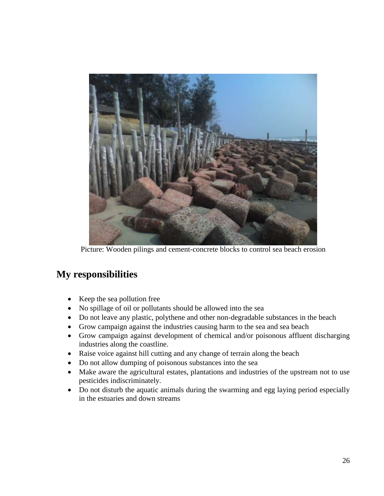

Picture: Wooden pilings and cement-concrete blocks to control sea beach erosion

- Keep the sea pollution free
- No spillage of oil or pollutants should be allowed into the sea
- Do not leave any plastic, polythene and other non-degradable substances in the beach
- Grow campaign against the industries causing harm to the sea and sea beach
- Grow campaign against development of chemical and/or poisonous affluent discharging industries along the coastline.
- Raise voice against hill cutting and any change of terrain along the beach
- Do not allow dumping of poisonous substances into the sea
- Make aware the agricultural estates, plantations and industries of the upstream not to use pesticides indiscriminately.
- Do not disturb the aquatic animals during the swarming and egg laying period especially in the estuaries and down streams